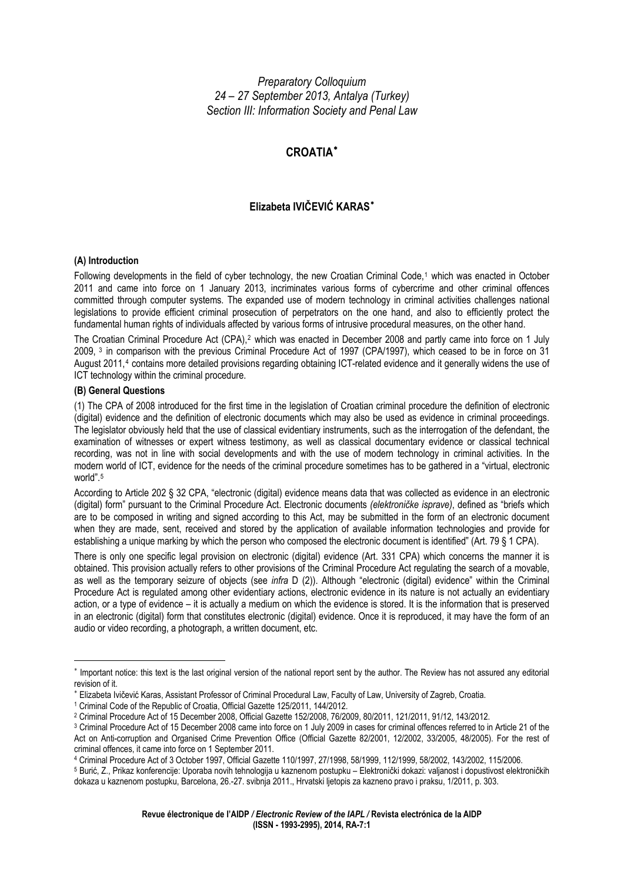*Preparatory Colloquium 24 – 27 September 2013, Antalya (Turkey) Section III: Information Society and Penal Law* 

# **CROATIA**[∗](#page-0-0)

# **Elizabeta IVIČEVIĆ KARAS**[∗](#page-0-1)

#### **(A) Introduction**

Following developments in the field of cyber technology, the new Croatian Criminal Code,<sup>[1](#page-0-2)</sup> which was enacted in October 2011 and came into force on 1 January 2013, incriminates various forms of cybercrime and other criminal offences committed through computer systems. The expanded use of modern technology in criminal activities challenges national legislations to provide efficient criminal prosecution of perpetrators on the one hand, and also to efficiently protect the fundamental human rights of individuals affected by various forms of intrusive procedural measures, on the other hand.

The Croatian Criminal Procedure Act (CPA),<sup>[2](#page-0-3)</sup> which was enacted in December 2008 and partly came into force on 1 July 2009, [3](#page-0-4) in comparison with the previous Criminal Procedure Act of 1997 (CPA/1997), which ceased to be in force on 31 August 2011,[4](#page-0-5) contains more detailed provisions regarding obtaining ICT-related evidence and it generally widens the use of ICT technology within the criminal procedure.

### **(B) General Questions**

1

(1) The CPA of 2008 introduced for the first time in the legislation of Croatian criminal procedure the definition of electronic (digital) evidence and the definition of electronic documents which may also be used as evidence in criminal proceedings. The legislator obviously held that the use of classical evidentiary instruments, such as the interrogation of the defendant, the examination of witnesses or expert witness testimony, as well as classical documentary evidence or classical technical recording, was not in line with social developments and with the use of modern technology in criminal activities. In the modern world of ICT, evidence for the needs of the criminal procedure sometimes has to be gathered in a "virtual, electronic world" [5](#page-0-6)

According to Article 202 § 32 CPA, "electronic (digital) evidence means data that was collected as evidence in an electronic (digital) form" pursuant to the Criminal Procedure Act. Electronic documents *(elektroničke isprave)*, defined as "briefs which are to be composed in writing and signed according to this Act, may be submitted in the form of an electronic document when they are made, sent, received and stored by the application of available information technologies and provide for establishing a unique marking by which the person who composed the electronic document is identified" (Art. 79 § 1 CPA).

There is only one specific legal provision on electronic (digital) evidence (Art. 331 CPA) which concerns the manner it is obtained. This provision actually refers to other provisions of the Criminal Procedure Act regulating the search of a movable, as well as the temporary seizure of objects (see *infra* D (2)). Although "electronic (digital) evidence" within the Criminal Procedure Act is regulated among other evidentiary actions, electronic evidence in its nature is not actually an evidentiary action, or a type of evidence – it is actually a medium on which the evidence is stored. It is the information that is preserved in an electronic (digital) form that constitutes electronic (digital) evidence. Once it is reproduced, it may have the form of an audio or video recording, a photograph, a written document, etc.

<span id="page-0-0"></span><sup>∗</sup> Important notice: this text is the last original version of the national report sent by the author. The Review has not assured any editorial revision of it.

<span id="page-0-1"></span><sup>∗</sup> Elizabeta Ivičević Karas, Assistant Professor of Criminal Procedural Law, Faculty of Law, University of Zagreb, Croatia. 1 Criminal Code of the Republic of Croatia, Official Gazette 125/2011, 144/2012.

<span id="page-0-3"></span><span id="page-0-2"></span><sup>2</sup> Criminal Procedure Act of 15 December 2008, Official Gazette 152/2008, 76/2009, 80/2011, 121/2011, 91/12, 143/2012.

<span id="page-0-4"></span><sup>&</sup>lt;sup>3</sup> Criminal Procedure Act of 15 December 2008 came into force on 1 July 2009 in cases for criminal offences referred to in Article 21 of the Act on Anti-corruption and Organised Crime Prevention Office (Official Gazette 82/2001, 12/2002, 33/2005, 48/2005). For the rest of criminal offences, it came into force on 1 September 2011.

<span id="page-0-5"></span><sup>4</sup> Criminal Procedure Act of 3 October 1997, Official Gazette 110/1997, 27/1998, 58/1999, 112/1999, 58/2002, 143/2002, 115/2006.

<span id="page-0-6"></span><sup>5</sup> Burić, Z., Prikaz konferencije: Uporaba novih tehnologija u kaznenom postupku – Elektronički dokazi: valjanost i dopustivost elektroničkih dokaza u kaznenom postupku, Barcelona, 26.-27. svibnja 2011., Hrvatski ljetopis za kazneno pravo i praksu, 1/2011, p. 303.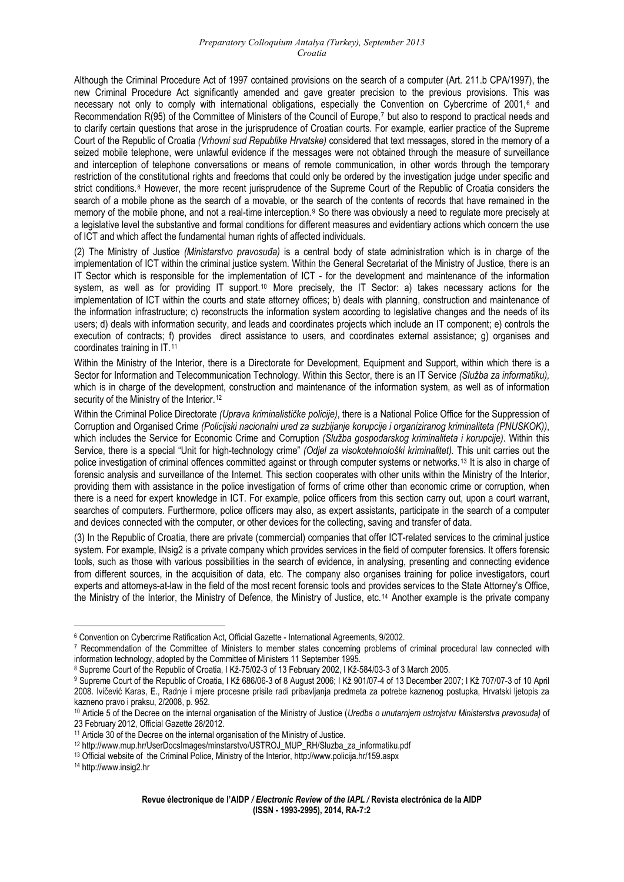Although the Criminal Procedure Act of 1997 contained provisions on the search of a computer (Art. 211.b CPA/1997), the new Criminal Procedure Act significantly amended and gave greater precision to the previous provisions. This was necessary not only to comply with international obligations, especially the Convention on Cybercrime of 2001,<sup>[6](#page-1-0)</sup> and Recommendation R(95) of the Committee of Ministers of the Council of Europe,<sup>[7](#page-1-1)</sup> but also to respond to practical needs and to clarify certain questions that arose in the jurisprudence of Croatian courts. For example, earlier practice of the Supreme Court of the Republic of Croatia *(Vrhovni sud Republike Hrvatske)* considered that text messages, stored in the memory of a seized mobile telephone, were unlawful evidence if the messages were not obtained through the measure of surveillance and interception of telephone conversations or means of remote communication, in other words through the temporary restriction of the constitutional rights and freedoms that could only be ordered by the investigation judge under specific and strict conditions.<sup>[8](#page-1-2)</sup> However, the more recent jurisprudence of the Supreme Court of the Republic of Croatia considers the search of a mobile phone as the search of a movable, or the search of the contents of records that have remained in the memory of the mobile phone, and not a real-time interception.<sup>[9](#page-1-3)</sup> So there was obviously a need to regulate more precisely at a legislative level the substantive and formal conditions for different measures and evidentiary actions which concern the use of ICT and which affect the fundamental human rights of affected individuals.

(2) The Ministry of Justice *(Ministarstvo pravosuđa)* is a central body of state administration which is in charge of the implementation of ICT within the criminal justice system. Within the General Secretariat of the Ministry of Justice, there is an IT Sector which is responsible for the implementation of ICT - for the development and maintenance of the information system, as well as for providing IT support.<sup>[10](#page-1-4)</sup> More precisely, the IT Sector: a) takes necessary actions for the implementation of ICT within the courts and state attorney offices; b) deals with planning, construction and maintenance of the information infrastructure; c) reconstructs the information system according to legislative changes and the needs of its users; d) deals with information security, and leads and coordinates projects which include an IT component; e) controls the execution of contracts; f) provides direct assistance to users, and coordinates external assistance; g) organises and coordinates training in IT.[11](#page-1-5)

Within the Ministry of the Interior, there is a Directorate for Development, Equipment and Support, within which there is a Sector for Information and Telecommunication Technology. Within this Sector, there is an IT Service *(Služba za informatiku),*  which is in charge of the development, construction and maintenance of the information system, as well as of information security of the Ministry of the Interior.<sup>[12](#page-1-6)</sup>

Within the Criminal Police Directorate *(Uprava kriminalističke policije)*, there is a National Police Office for the Suppression of Corruption and Organised Crime *(Policijski nacionalni ured za suzbijanje korupcije i organiziranog kriminaliteta (PNUSKOK))*, which includes the Service for Economic Crime and Corruption *(Služba gospodarskog kriminaliteta i korupcije)*. Within this Service, there is a special "Unit for high-technology crime" *(Odjel za visokotehnološki kriminalitet).* This unit carries out the police investigation of criminal offences committed against or through computer systems or networks.[13](#page-1-7) It is also in charge of forensic analysis and surveillance of the Internet. This section cooperates with other units within the Ministry of the Interior, providing them with assistance in the police investigation of forms of crime other than economic crime or corruption, when there is a need for expert knowledge in ICT. For example, police officers from this section carry out, upon a court warrant, searches of computers. Furthermore, police officers may also, as expert assistants, participate in the search of a computer and devices connected with the computer, or other devices for the collecting, saving and transfer of data.

(3) In the Republic of Croatia, there are private (commercial) companies that offer ICT-related services to the criminal justice system. For example, INsig2 is a private company which provides services in the field of computer forensics. It offers forensic tools, such as those with various possibilities in the search of evidence, in analysing, presenting and connecting evidence from different sources, in the acquisition of data, etc. The company also organises training for police investigators, court experts and attorneys-at-law in the field of the most recent forensic tools and provides services to the State Attorney's Office, the Ministry of the Interior, the Ministry of Defence, the Ministry of Justice, etc.[14](#page-1-8) Another example is the private company

<u>.</u>

<span id="page-1-0"></span><sup>6</sup> Convention on Cybercrime Ratification Act, Official Gazette - International Agreements, 9/2002.

<span id="page-1-1"></span><sup>&</sup>lt;sup>7</sup> Recommendation of the Committee of Ministers to member states concerning problems of criminal procedural law connected with information technology, adopted by the Committee of Ministers 11 September 1995.

<sup>8</sup> Supreme Court of the Republic of Croatia, I Kž-75/02-3 of 13 February 2002, I Kž-584/03-3 of 3 March 2005.

<span id="page-1-3"></span><span id="page-1-2"></span><sup>&</sup>lt;sup>9</sup> Supreme Court of the Republic of Croatia, I Kž 686/06-3 of 8 August 2006; I Kž 901/07-4 of 13 December 2007; I Kž 707/07-3 of 10 April 2008. Ivičević Karas, E., Radnje i mjere procesne prisile radi pribavljanja predmeta za potrebe kaznenog postupka, Hrvatski ljetopis za kazneno pravo i praksu, 2/2008, p. 952.

<span id="page-1-4"></span><sup>10</sup> Article 5 of the Decree on the internal organisation of the Ministry of Justice (*Uredba o unutarnjem ustrojstvu Ministarstva pravosuđa)* of 23 February 2012, Official Gazette 28/2012.

<span id="page-1-6"></span><span id="page-1-5"></span><sup>&</sup>lt;sup>11</sup> Article 30 of the Decree on the internal organisation of the Ministry of Justice.<br><sup>12</sup> http://www.mup.hr/UserDocsImages/minstarstvo/USTROJ\_MUP\_RH/Sluzba\_za\_informatiku.pdf

<span id="page-1-7"></span><sup>&</sup>lt;sup>13</sup> Official website of the Criminal Police, Ministry of the Interior, http://www.policija.hr/159.aspx

<span id="page-1-8"></span><sup>14</sup> http://www.insig2.hr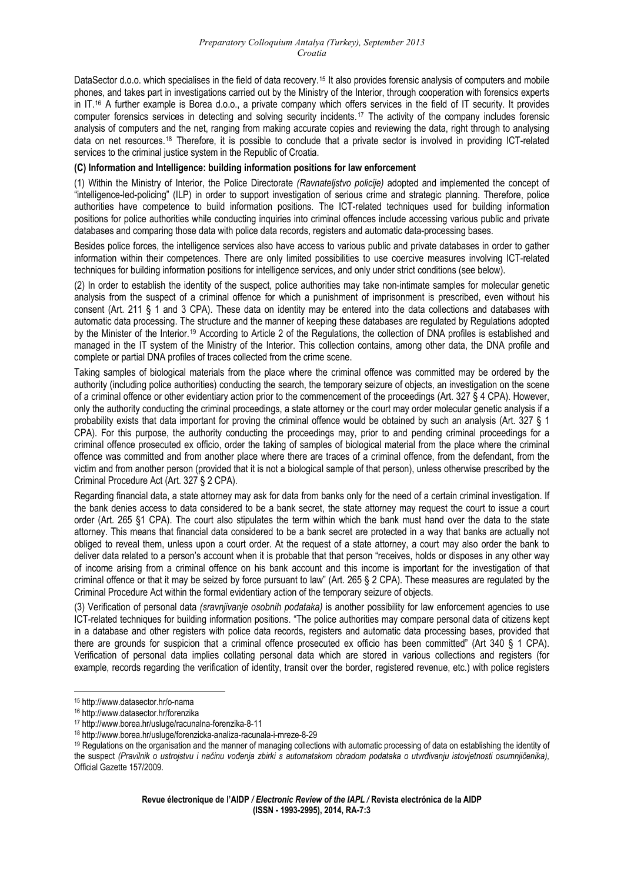DataSector d.o.o. which specialises in the field of data recovery.<sup>[15](#page-2-0)</sup> It also provides forensic analysis of computers and mobile phones, and takes part in investigations carried out by the Ministry of the Interior, through cooperation with forensics experts in IT.[16](#page-2-1) A further example is Borea d.o.o., a private company which offers services in the field of IT security. It provides computer forensics services in detecting and solving security incidents.[17](#page-2-2) The activity of the company includes forensic analysis of computers and the net, ranging from making accurate copies and reviewing the data, right through to analysing data on net resources.[18](#page-2-3) Therefore, it is possible to conclude that a private sector is involved in providing ICT-related services to the criminal justice system in the Republic of Croatia.

#### **(C) Information and Intelligence: building information positions for law enforcement**

(1) Within the Ministry of Interior, the Police Directorate *(Ravnateljstvo policije)* adopted and implemented the concept of "intelligence-led-policing" (ILP) in order to support investigation of serious crime and strategic planning. Therefore, police authorities have competence to build information positions. The ICT-related techniques used for building information positions for police authorities while conducting inquiries into criminal offences include accessing various public and private databases and comparing those data with police data records, registers and automatic data-processing bases.

Besides police forces, the intelligence services also have access to various public and private databases in order to gather information within their competences. There are only limited possibilities to use coercive measures involving ICT-related techniques for building information positions for intelligence services, and only under strict conditions (see below).

(2) In order to establish the identity of the suspect, police authorities may take non-intimate samples for molecular genetic analysis from the suspect of a criminal offence for which a punishment of imprisonment is prescribed, even without his consent (Art. 211 § 1 and 3 CPA). These data on identity may be entered into the data collections and databases with automatic data processing. The structure and the manner of keeping these databases are regulated by Regulations adopted by the Minister of the Interior.[19](#page-2-4) According to Article 2 of the Regulations, the collection of DNA profiles is established and managed in the IT system of the Ministry of the Interior. This collection contains, among other data, the DNA profile and complete or partial DNA profiles of traces collected from the crime scene.

Taking samples of biological materials from the place where the criminal offence was committed may be ordered by the authority (including police authorities) conducting the search, the temporary seizure of objects, an investigation on the scene of a criminal offence or other evidentiary action prior to the commencement of the proceedings (Art. 327 § 4 CPA). However, only the authority conducting the criminal proceedings, a state attorney or the court may order molecular genetic analysis if a probability exists that data important for proving the criminal offence would be obtained by such an analysis (Art. 327 § 1 CPA). For this purpose, the authority conducting the proceedings may, prior to and pending criminal proceedings for a criminal offence prosecuted ex officio, order the taking of samples of biological material from the place where the criminal offence was committed and from another place where there are traces of a criminal offence, from the defendant, from the victim and from another person (provided that it is not a biological sample of that person), unless otherwise prescribed by the Criminal Procedure Act (Art. 327 § 2 CPA).

Regarding financial data, a state attorney may ask for data from banks only for the need of a certain criminal investigation. If the bank denies access to data considered to be a bank secret, the state attorney may request the court to issue a court order (Art. 265 §1 CPA). The court also stipulates the term within which the bank must hand over the data to the state attorney. This means that financial data considered to be a bank secret are protected in a way that banks are actually not obliged to reveal them, unless upon a court order. At the request of a state attorney, a court may also order the bank to deliver data related to a person's account when it is probable that that person "receives, holds or disposes in any other way of income arising from a criminal offence on his bank account and this income is important for the investigation of that criminal offence or that it may be seized by force pursuant to law" (Art. 265 § 2 CPA). These measures are regulated by the Criminal Procedure Act within the formal evidentiary action of the temporary seizure of objects.

(3) Verification of personal data *(sravnjivanje osobnih podataka)* is another possibility for law enforcement agencies to use ICT-related techniques for building information positions. "The police authorities may compare personal data of citizens kept in a database and other registers with police data records, registers and automatic data processing bases, provided that there are grounds for suspicion that a criminal offence prosecuted ex officio has been committed" (Art 340 § 1 CPA). Verification of personal data implies collating personal data which are stored in various collections and registers (for example, records regarding the verification of identity, transit over the border, registered revenue, etc.) with police registers

<span id="page-2-0"></span><sup>15</sup> http://www.datasector.hr/o-nama

<span id="page-2-1"></span><sup>16</sup> http://www.datasector.hr/forenzika

<span id="page-2-4"></span><span id="page-2-3"></span>

<span id="page-2-2"></span><sup>&</sup>lt;sup>17</sup> http://www.borea.hr/usluge/racunalna-forenzika-8-11<br><sup>18</sup> http://www.borea.hr/usluge/forenzicka-analiza-racunala-i-mreze-8-29<br><sup>19</sup> Regulations on the organisation and the manner of managing collections with automatic p the suspect *(Pravilnik o ustrojstvu i načinu vođenja zbirki s automatskom obradom podataka o utvrđivanju istovjetnosti osumnjičenika),* Official Gazette 157/2009.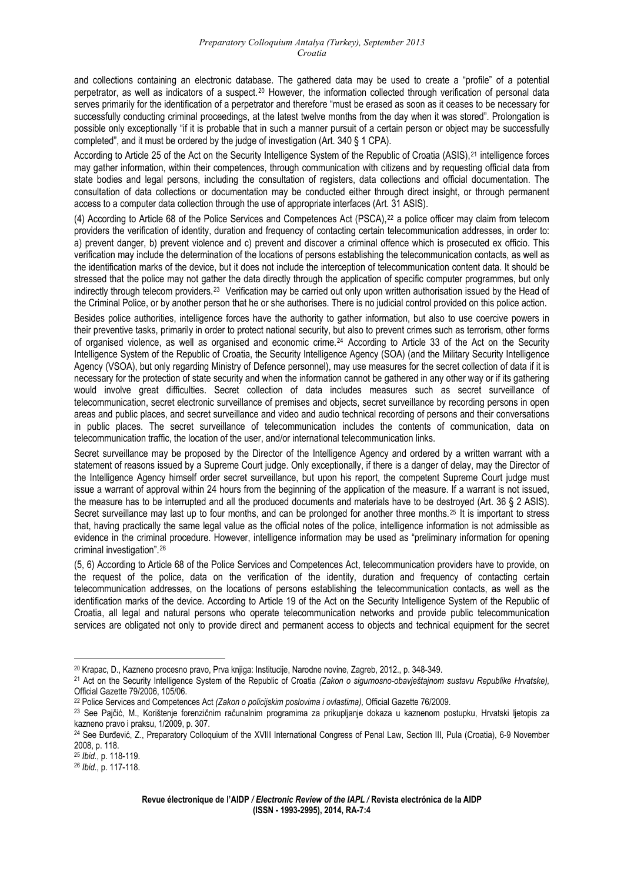and collections containing an electronic database. The gathered data may be used to create a "profile" of a potential perpetrator, as well as indicators of a suspect.[20](#page-3-0) However, the information collected through verification of personal data serves primarily for the identification of a perpetrator and therefore "must be erased as soon as it ceases to be necessary for successfully conducting criminal proceedings, at the latest twelve months from the day when it was stored". Prolongation is possible only exceptionally "if it is probable that in such a manner pursuit of a certain person or object may be successfully completed", and it must be ordered by the judge of investigation (Art. 340 § 1 CPA).

According to Article 25 of the Act on the Security Intelligence System of the Republic of Croatia (ASIS),[21](#page-3-1) intelligence forces may gather information, within their competences, through communication with citizens and by requesting official data from state bodies and legal persons, including the consultation of registers, data collections and official documentation. The consultation of data collections or documentation may be conducted either through direct insight, or through permanent access to a computer data collection through the use of appropriate interfaces (Art. 31 ASIS).

(4) According to Article 68 of the Police Services and Competences Act (PSCA),[22](#page-3-2) a police officer may claim from telecom providers the verification of identity, duration and frequency of contacting certain telecommunication addresses, in order to: a) prevent danger, b) prevent violence and c) prevent and discover a criminal offence which is prosecuted ex officio. This verification may include the determination of the locations of persons establishing the telecommunication contacts, as well as the identification marks of the device, but it does not include the interception of telecommunication content data. It should be stressed that the police may not gather the data directly through the application of specific computer programmes, but only indirectly through telecom providers.[23](#page-3-3) Verification may be carried out only upon written authorisation issued by the Head of the Criminal Police, or by another person that he or she authorises. There is no judicial control provided on this police action.

Besides police authorities, intelligence forces have the authority to gather information, but also to use coercive powers in their preventive tasks, primarily in order to protect national security, but also to prevent crimes such as terrorism, other forms of organised violence, as well as organised and economic crime.[24](#page-3-4) According to Article 33 of the Act on the Security Intelligence System of the Republic of Croatia, the Security Intelligence Agency (SOA) (and the Military Security Intelligence Agency (VSOA), but only regarding Ministry of Defence personnel), may use measures for the secret collection of data if it is necessary for the protection of state security and when the information cannot be gathered in any other way or if its gathering would involve great difficulties. Secret collection of data includes measures such as secret surveillance of telecommunication, secret electronic surveillance of premises and objects, secret surveillance by recording persons in open areas and public places, and secret surveillance and video and audio technical recording of persons and their conversations in public places. The secret surveillance of telecommunication includes the contents of communication, data on telecommunication traffic, the location of the user, and/or international telecommunication links.

Secret surveillance may be proposed by the Director of the Intelligence Agency and ordered by a written warrant with a statement of reasons issued by a Supreme Court judge. Only exceptionally, if there is a danger of delay, may the Director of the Intelligence Agency himself order secret surveillance, but upon his report, the competent Supreme Court judge must issue a warrant of approval within 24 hours from the beginning of the application of the measure. If a warrant is not issued, the measure has to be interrupted and all the produced documents and materials have to be destroyed (Art. 36 § 2 ASIS). Secret surveillance may last up to four months, and can be prolonged for another three months.<sup>[25](#page-3-5)</sup> It is important to stress that, having practically the same legal value as the official notes of the police, intelligence information is not admissible as evidence in the criminal procedure. However, intelligence information may be used as "preliminary information for opening criminal investigation".[26](#page-3-6)

(5, 6) According to Article 68 of the Police Services and Competences Act, telecommunication providers have to provide, on the request of the police, data on the verification of the identity, duration and frequency of contacting certain telecommunication addresses, on the locations of persons establishing the telecommunication contacts, as well as the identification marks of the device. According to Article 19 of the Act on the Security Intelligence System of the Republic of Croatia, all legal and natural persons who operate telecommunication networks and provide public telecommunication services are obligated not only to provide direct and permanent access to objects and technical equipment for the secret

<sup>1</sup> 20 Krapac, D., Kazneno procesno pravo, Prva knjiga: Institucije, Narodne novine, Zagreb, 2012., p. 348-349.

<span id="page-3-1"></span><span id="page-3-0"></span><sup>21</sup> Act on the Security Intelligence System of the Republic of Croatia *(Zakon o sigurnosno-obavještajnom sustavu Republike Hrvatske),* Official Gazette 79/2006, 105/06.

<span id="page-3-3"></span><span id="page-3-2"></span><sup>&</sup>lt;sup>22</sup> Police Services and Competences Act (Zakon o policijskim poslovima i ovlastima), Official Gazette 76/2009.<br><sup>23</sup> See Pajčić, M., Korištenje forenzičnim računalnim programima za prikupljanje dokaza u kaznenom postupku, kazneno pravo i praksu, 1/2009, p. 307.

<span id="page-3-4"></span><sup>&</sup>lt;sup>24</sup> See Đurđević, Z., Preparatory Colloquium of the XVIII International Congress of Penal Law, Section III, Pula (Croatia), 6-9 November 2008, p. 118.

<span id="page-3-5"></span><sup>25</sup> *Ibid.*, p. 118-119. 26 *Ibid.*, p. 117-118.

<span id="page-3-6"></span>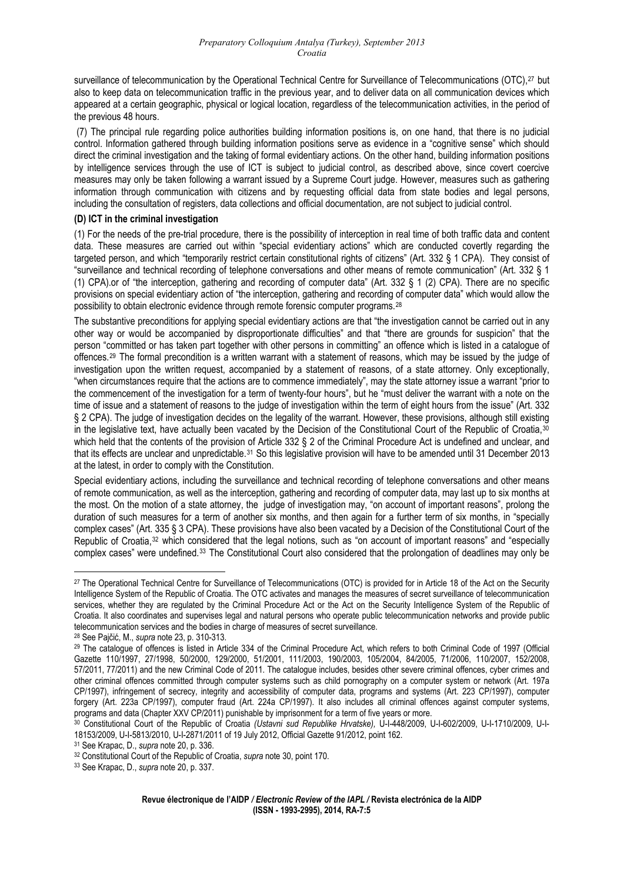surveillance of telecommunication by the Operational Technical Centre for Surveillance of Telecommunications (OTC),<sup>[27](#page-4-0)</sup> but also to keep data on telecommunication traffic in the previous year, and to deliver data on all communication devices which appeared at a certain geographic, physical or logical location, regardless of the telecommunication activities, in the period of the previous 48 hours.

 (7) The principal rule regarding police authorities building information positions is, on one hand, that there is no judicial control. Information gathered through building information positions serve as evidence in a "cognitive sense" which should direct the criminal investigation and the taking of formal evidentiary actions. On the other hand, building information positions by intelligence services through the use of ICT is subject to judicial control, as described above, since covert coercive measures may only be taken following a warrant issued by a Supreme Court judge. However, measures such as gathering information through communication with citizens and by requesting official data from state bodies and legal persons, including the consultation of registers, data collections and official documentation, are not subject to judicial control.

#### **(D) ICT in the criminal investigation**

(1) For the needs of the pre-trial procedure, there is the possibility of interception in real time of both traffic data and content data. These measures are carried out within "special evidentiary actions" which are conducted covertly regarding the targeted person, and which "temporarily restrict certain constitutional rights of citizens" (Art. 332 § 1 CPA). They consist of "surveillance and technical recording of telephone conversations and other means of remote communication" (Art. 332 § 1 (1) CPA).or of "the interception, gathering and recording of computer data" (Art. 332 § 1 (2) CPA). There are no specific provisions on special evidentiary action of "the interception, gathering and recording of computer data" which would allow the possibility to obtain electronic evidence through remote forensic computer programs.[28](#page-4-1)

The substantive preconditions for applying special evidentiary actions are that "the investigation cannot be carried out in any other way or would be accompanied by disproportionate difficulties" and that "there are grounds for suspicion" that the person "committed or has taken part together with other persons in committing" an offence which is listed in a catalogue of offences.[29](#page-4-2) The formal precondition is a written warrant with a statement of reasons, which may be issued by the judge of investigation upon the written request, accompanied by a statement of reasons, of a state attorney. Only exceptionally, "when circumstances require that the actions are to commence immediately", may the state attorney issue a warrant "prior to the commencement of the investigation for a term of twenty-four hours", but he "must deliver the warrant with a note on the time of issue and a statement of reasons to the judge of investigation within the term of eight hours from the issue" (Art. 332 § 2 CPA). The judge of investigation decides on the legality of the warrant. However, these provisions, although still existing in the legislative text, have actually been vacated by the Decision of the Constitutional Court of the Republic of Croatia,<sup>[30](#page-4-3)</sup> which held that the contents of the provision of Article 332 § 2 of the Criminal Procedure Act is undefined and unclear, and that its effects are unclear and unpredictable.<sup>[31](#page-4-4)</sup> So this legislative provision will have to be amended until 31 December 2013 at the latest, in order to comply with the Constitution.

Special evidentiary actions, including the surveillance and technical recording of telephone conversations and other means of remote communication, as well as the interception, gathering and recording of computer data, may last up to six months at the most. On the motion of a state attorney, the judge of investigation may, "on account of important reasons", prolong the duration of such measures for a term of another six months, and then again for a further term of six months, in "specially complex cases" (Art. 335 § 3 CPA). These provisions have also been vacated by a Decision of the Constitutional Court of the Republic of Croatia,[32](#page-4-5) which considered that the legal notions, such as "on account of important reasons" and "especially complex cases" were undefined.[33](#page-4-6) The Constitutional Court also considered that the prolongation of deadlines may only be

<span id="page-4-0"></span><sup>&</sup>lt;sup>27</sup> The Operational Technical Centre for Surveillance of Telecommunications (OTC) is provided for in Article 18 of the Act on the Security Intelligence System of the Republic of Croatia. The OTC activates and manages the measures of secret surveillance of telecommunication services, whether they are regulated by the Criminal Procedure Act or the Act on the Security Intelligence System of the Republic of Croatia. It also coordinates and supervises legal and natural persons who operate public telecommunication networks and provide public telecommunication services and the bodies in charge of measures of secret surveillance.

<span id="page-4-2"></span><span id="page-4-1"></span><sup>&</sup>lt;sup>28</sup> See Pajčić, M., *supra* note 23, p. 310-313.<br><sup>29</sup> The catalogue of offences is listed in Article 334 of the Criminal Procedure Act, which refers to both Criminal Code of 1997 (Official Gazette 110/1997, 27/1998, 50/2000, 129/2000, 51/2001, 111/2003, 190/2003, 105/2004, 84/2005, 71/2006, 110/2007, 152/2008, 57/2011, 77/2011) and the new Criminal Code of 2011. The catalogue includes, besides other severe criminal offences, cyber crimes and other criminal offences committed through computer systems such as child pornography on a computer system or network (Art. 197a CP/1997), infringement of secrecy, integrity and accessibility of computer data, programs and systems (Art. 223 CP/1997), computer forgery (Art. 223a CP/1997), computer fraud (Art. 224a CP/1997). It also includes all criminal offences against computer systems, programs and data (Chapter XXV CP/2011) punishable by imprisonment for a term of five years or more.

<span id="page-4-3"></span><sup>30</sup> Constitutional Court of the Republic of Croatia *(Ustavni sud Republike Hrvatske),* U-I-448/2009, U-I-602/2009, U-I-1710/2009, U-I-18153/2009, U-I-5813/2010, U-I-2871/2011 of 19 July 2012, Official Gazette 91/2012, point 162.<br><sup>31</sup> See Krapac, D., supra note 20, p. 336.

<span id="page-4-5"></span><span id="page-4-4"></span><sup>31</sup> See Krapac, D., *supra* note 20, p. 336. 32 Constitutional Court of the Republic of Croatia, *supra* note 30, point 170. 33 See Krapac, D., *supra* note 20, p. 337.

<span id="page-4-6"></span>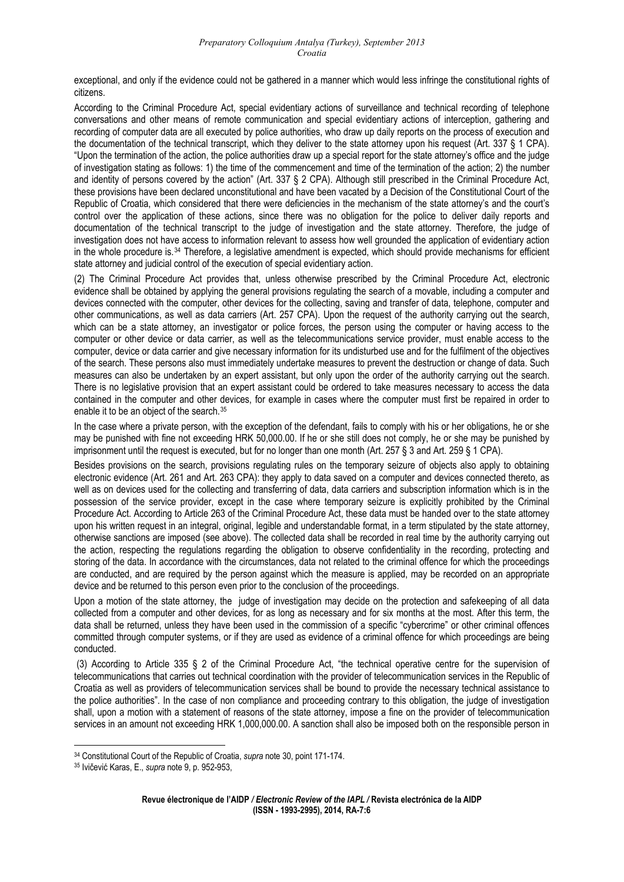exceptional, and only if the evidence could not be gathered in a manner which would less infringe the constitutional rights of citizens.

According to the Criminal Procedure Act, special evidentiary actions of surveillance and technical recording of telephone conversations and other means of remote communication and special evidentiary actions of interception, gathering and recording of computer data are all executed by police authorities, who draw up daily reports on the process of execution and the documentation of the technical transcript, which they deliver to the state attorney upon his request (Art. 337 § 1 CPA). "Upon the termination of the action, the police authorities draw up a special report for the state attorney's office and the judge of investigation stating as follows: 1) the time of the commencement and time of the termination of the action; 2) the number and identity of persons covered by the action" (Art. 337 § 2 CPA). Although still prescribed in the Criminal Procedure Act, these provisions have been declared unconstitutional and have been vacated by a Decision of the Constitutional Court of the Republic of Croatia, which considered that there were deficiencies in the mechanism of the state attorney's and the court's control over the application of these actions, since there was no obligation for the police to deliver daily reports and documentation of the technical transcript to the judge of investigation and the state attorney. Therefore, the judge of investigation does not have access to information relevant to assess how well grounded the application of evidentiary action in the whole procedure is.[34](#page-5-0) Therefore, a legislative amendment is expected, which should provide mechanisms for efficient state attorney and judicial control of the execution of special evidentiary action.

(2) The Criminal Procedure Act provides that, unless otherwise prescribed by the Criminal Procedure Act, electronic evidence shall be obtained by applying the general provisions regulating the search of a movable, including a computer and devices connected with the computer, other devices for the collecting, saving and transfer of data, telephone, computer and other communications, as well as data carriers (Art. 257 CPA). Upon the request of the authority carrying out the search, which can be a state attorney, an investigator or police forces, the person using the computer or having access to the computer or other device or data carrier, as well as the telecommunications service provider, must enable access to the computer, device or data carrier and give necessary information for its undisturbed use and for the fulfilment of the objectives of the search. These persons also must immediately undertake measures to prevent the destruction or change of data. Such measures can also be undertaken by an expert assistant, but only upon the order of the authority carrying out the search. There is no legislative provision that an expert assistant could be ordered to take measures necessary to access the data contained in the computer and other devices, for example in cases where the computer must first be repaired in order to enable it to be an object of the search.[35](#page-5-1)

In the case where a private person, with the exception of the defendant, fails to comply with his or her obligations, he or she may be punished with fine not exceeding HRK 50,000.00. If he or she still does not comply, he or she may be punished by imprisonment until the request is executed, but for no longer than one month (Art. 257 § 3 and Art. 259 § 1 CPA).

Besides provisions on the search, provisions regulating rules on the temporary seizure of objects also apply to obtaining electronic evidence (Art. 261 and Art. 263 CPA): they apply to data saved on a computer and devices connected thereto, as well as on devices used for the collecting and transferring of data, data carriers and subscription information which is in the possession of the service provider, except in the case where temporary seizure is explicitly prohibited by the Criminal Procedure Act. According to Article 263 of the Criminal Procedure Act, these data must be handed over to the state attorney upon his written request in an integral, original, legible and understandable format, in a term stipulated by the state attorney, otherwise sanctions are imposed (see above). The collected data shall be recorded in real time by the authority carrying out the action, respecting the regulations regarding the obligation to observe confidentiality in the recording, protecting and storing of the data. In accordance with the circumstances, data not related to the criminal offence for which the proceedings are conducted, and are required by the person against which the measure is applied, may be recorded on an appropriate device and be returned to this person even prior to the conclusion of the proceedings.

Upon a motion of the state attorney, the judge of investigation may decide on the protection and safekeeping of all data collected from a computer and other devices, for as long as necessary and for six months at the most. After this term, the data shall be returned, unless they have been used in the commission of a specific "cybercrime" or other criminal offences committed through computer systems, or if they are used as evidence of a criminal offence for which proceedings are being conducted.

 (3) According to Article 335 § 2 of the Criminal Procedure Act, "the technical operative centre for the supervision of telecommunications that carries out technical coordination with the provider of telecommunication services in the Republic of Croatia as well as providers of telecommunication services shall be bound to provide the necessary technical assistance to the police authorities". In the case of non compliance and proceeding contrary to this obligation, the judge of investigation shall, upon a motion with a statement of reasons of the state attorney, impose a fine on the provider of telecommunication services in an amount not exceeding HRK 1,000,000.00. A sanction shall also be imposed both on the responsible person in

<span id="page-5-0"></span><sup>&</sup>lt;sup>34</sup> Constitutional Court of the Republic of Croatia, *supra* note 30, point 171-174.<br><sup>35</sup> Ivičević Karas, E., *supra* note 9, p. 952-953,

<span id="page-5-1"></span>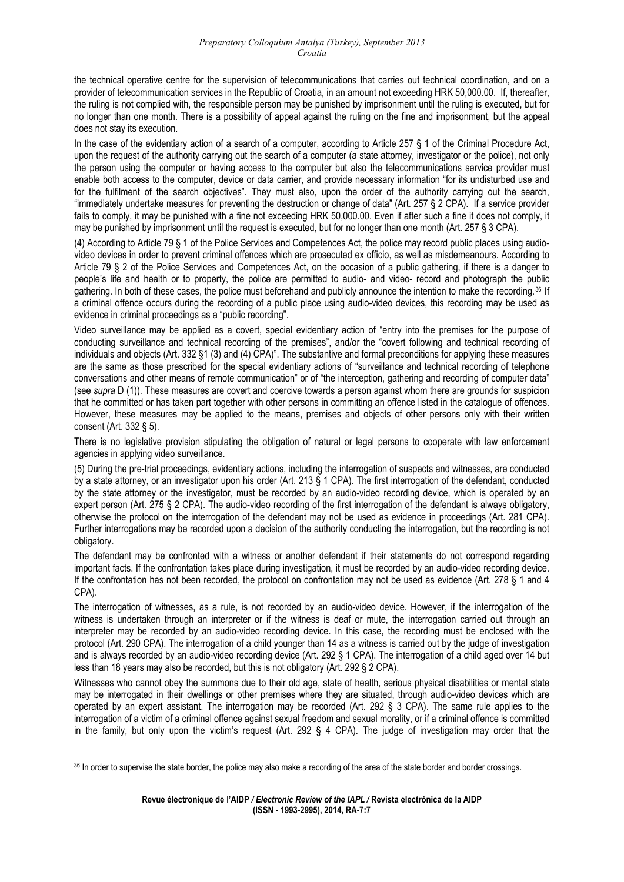the technical operative centre for the supervision of telecommunications that carries out technical coordination, and on a provider of telecommunication services in the Republic of Croatia, in an amount not exceeding HRK 50,000.00. If, thereafter, the ruling is not complied with, the responsible person may be punished by imprisonment until the ruling is executed, but for no longer than one month. There is a possibility of appeal against the ruling on the fine and imprisonment, but the appeal does not stay its execution.

In the case of the evidentiary action of a search of a computer, according to Article 257 § 1 of the Criminal Procedure Act, upon the request of the authority carrying out the search of a computer (a state attorney, investigator or the police), not only the person using the computer or having access to the computer but also the telecommunications service provider must enable both access to the computer, device or data carrier, and provide necessary information "for its undisturbed use and for the fulfilment of the search objectives". They must also, upon the order of the authority carrying out the search, "immediately undertake measures for preventing the destruction or change of data" (Art. 257 § 2 CPA). If a service provider fails to comply, it may be punished with a fine not exceeding HRK 50,000.00. Even if after such a fine it does not comply, it may be punished by imprisonment until the request is executed, but for no longer than one month (Art. 257 § 3 CPA).

(4) According to Article 79 § 1 of the Police Services and Competences Act, the police may record public places using audiovideo devices in order to prevent criminal offences which are prosecuted ex officio, as well as misdemeanours. According to Article 79 § 2 of the Police Services and Competences Act, on the occasion of a public gathering, if there is a danger to people's life and health or to property, the police are permitted to audio- and video- record and photograph the public gathering. In both of these cases, the police must beforehand and publicly announce the intention to make the recording.[36](#page-6-0) If a criminal offence occurs during the recording of a public place using audio-video devices, this recording may be used as evidence in criminal proceedings as a "public recording".

Video surveillance may be applied as a covert, special evidentiary action of "entry into the premises for the purpose of conducting surveillance and technical recording of the premises", and/or the "covert following and technical recording of individuals and objects (Art. 332 §1 (3) and (4) CPA)". The substantive and formal preconditions for applying these measures are the same as those prescribed for the special evidentiary actions of "surveillance and technical recording of telephone conversations and other means of remote communication" or of "the interception, gathering and recording of computer data" (see *supra* D (1)). These measures are covert and coercive towards a person against whom there are grounds for suspicion that he committed or has taken part together with other persons in committing an offence listed in the catalogue of offences. However, these measures may be applied to the means, premises and objects of other persons only with their written consent (Art. 332 § 5).

There is no legislative provision stipulating the obligation of natural or legal persons to cooperate with law enforcement agencies in applying video surveillance.

(5) During the pre-trial proceedings, evidentiary actions, including the interrogation of suspects and witnesses, are conducted by a state attorney, or an investigator upon his order (Art. 213 § 1 CPA). The first interrogation of the defendant, conducted by the state attorney or the investigator, must be recorded by an audio-video recording device, which is operated by an expert person (Art. 275 § 2 CPA). The audio-video recording of the first interrogation of the defendant is always obligatory, otherwise the protocol on the interrogation of the defendant may not be used as evidence in proceedings (Art. 281 CPA). Further interrogations may be recorded upon a decision of the authority conducting the interrogation, but the recording is not obligatory.

The defendant may be confronted with a witness or another defendant if their statements do not correspond regarding important facts. If the confrontation takes place during investigation, it must be recorded by an audio-video recording device. If the confrontation has not been recorded, the protocol on confrontation may not be used as evidence (Art. 278 § 1 and 4 CPA).

The interrogation of witnesses, as a rule, is not recorded by an audio-video device. However, if the interrogation of the witness is undertaken through an interpreter or if the witness is deaf or mute, the interrogation carried out through an interpreter may be recorded by an audio-video recording device. In this case, the recording must be enclosed with the protocol (Art. 290 CPA). The interrogation of a child younger than 14 as a witness is carried out by the judge of investigation and is always recorded by an audio-video recording device (Art. 292 § 1 CPA). The interrogation of a child aged over 14 but less than 18 years may also be recorded, but this is not obligatory (Art. 292 § 2 CPA).

Witnesses who cannot obey the summons due to their old age, state of health, serious physical disabilities or mental state may be interrogated in their dwellings or other premises where they are situated, through audio-video devices which are operated by an expert assistant. The interrogation may be recorded (Art. 292 § 3 CPA). The same rule applies to the interrogation of a victim of a criminal offence against sexual freedom and sexual morality, or if a criminal offence is committed in the family, but only upon the victim's request (Art. 292 § 4 CPA). The judge of investigation may order that the

<span id="page-6-0"></span><sup>&</sup>lt;sup>36</sup> In order to supervise the state border, the police may also make a recording of the area of the state border and border crossings.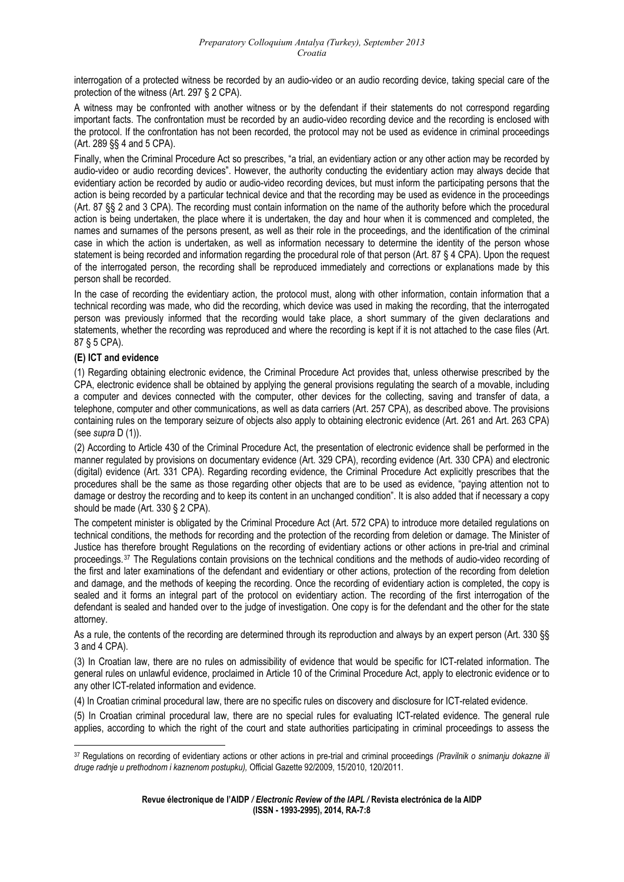interrogation of a protected witness be recorded by an audio-video or an audio recording device, taking special care of the protection of the witness (Art. 297 § 2 CPA).

A witness may be confronted with another witness or by the defendant if their statements do not correspond regarding important facts. The confrontation must be recorded by an audio-video recording device and the recording is enclosed with the protocol. If the confrontation has not been recorded, the protocol may not be used as evidence in criminal proceedings (Art. 289 §§ 4 and 5 CPA).

Finally, when the Criminal Procedure Act so prescribes, "a trial, an evidentiary action or any other action may be recorded by audio-video or audio recording devices". However, the authority conducting the evidentiary action may always decide that evidentiary action be recorded by audio or audio-video recording devices, but must inform the participating persons that the action is being recorded by a particular technical device and that the recording may be used as evidence in the proceedings (Art. 87 §§ 2 and 3 CPA). The recording must contain information on the name of the authority before which the procedural action is being undertaken, the place where it is undertaken, the day and hour when it is commenced and completed, the names and surnames of the persons present, as well as their role in the proceedings, and the identification of the criminal case in which the action is undertaken, as well as information necessary to determine the identity of the person whose statement is being recorded and information regarding the procedural role of that person (Art. 87 § 4 CPA). Upon the request of the interrogated person, the recording shall be reproduced immediately and corrections or explanations made by this person shall be recorded.

In the case of recording the evidentiary action, the protocol must, along with other information, contain information that a technical recording was made, who did the recording, which device was used in making the recording, that the interrogated person was previously informed that the recording would take place, a short summary of the given declarations and statements, whether the recording was reproduced and where the recording is kept if it is not attached to the case files (Art. 87 § 5 CPA).

## **(E) ICT and evidence**

(1) Regarding obtaining electronic evidence, the Criminal Procedure Act provides that, unless otherwise prescribed by the CPA, electronic evidence shall be obtained by applying the general provisions regulating the search of a movable, including a computer and devices connected with the computer, other devices for the collecting, saving and transfer of data, a telephone, computer and other communications, as well as data carriers (Art. 257 CPA), as described above. The provisions containing rules on the temporary seizure of objects also apply to obtaining electronic evidence (Art. 261 and Art. 263 CPA) (see *supra* D (1)).

(2) According to Article 430 of the Criminal Procedure Act, the presentation of electronic evidence shall be performed in the manner regulated by provisions on documentary evidence (Art. 329 CPA), recording evidence (Art. 330 CPA) and electronic (digital) evidence (Art. 331 CPA). Regarding recording evidence, the Criminal Procedure Act explicitly prescribes that the procedures shall be the same as those regarding other objects that are to be used as evidence, "paying attention not to damage or destroy the recording and to keep its content in an unchanged condition". It is also added that if necessary a copy should be made (Art. 330 § 2 CPA).

The competent minister is obligated by the Criminal Procedure Act (Art. 572 CPA) to introduce more detailed regulations on technical conditions, the methods for recording and the protection of the recording from deletion or damage. The Minister of Justice has therefore brought Regulations on the recording of evidentiary actions or other actions in pre-trial and criminal proceedings.[37](#page-7-0) The Regulations contain provisions on the technical conditions and the methods of audio-video recording of the first and later examinations of the defendant and evidentiary or other actions, protection of the recording from deletion and damage, and the methods of keeping the recording. Once the recording of evidentiary action is completed, the copy is sealed and it forms an integral part of the protocol on evidentiary action. The recording of the first interrogation of the defendant is sealed and handed over to the judge of investigation. One copy is for the defendant and the other for the state attorney.

As a rule, the contents of the recording are determined through its reproduction and always by an expert person (Art. 330 §§ 3 and 4 CPA).

(3) In Croatian law, there are no rules on admissibility of evidence that would be specific for ICT-related information. The general rules on unlawful evidence, proclaimed in Article 10 of the Criminal Procedure Act, apply to electronic evidence or to any other ICT-related information and evidence.

(4) In Croatian criminal procedural law, there are no specific rules on discovery and disclosure for ICT-related evidence.

(5) In Croatian criminal procedural law, there are no special rules for evaluating ICT-related evidence. The general rule applies, according to which the right of the court and state authorities participating in criminal proceedings to assess the

<span id="page-7-0"></span><sup>1</sup> 37 Regulations on recording of evidentiary actions or other actions in pre-trial and criminal proceedings *(Pravilnik o snimanju dokazne ili druge radnje u prethodnom i kaznenom postupku),* Official Gazette 92/2009, 15/2010, 120/2011.